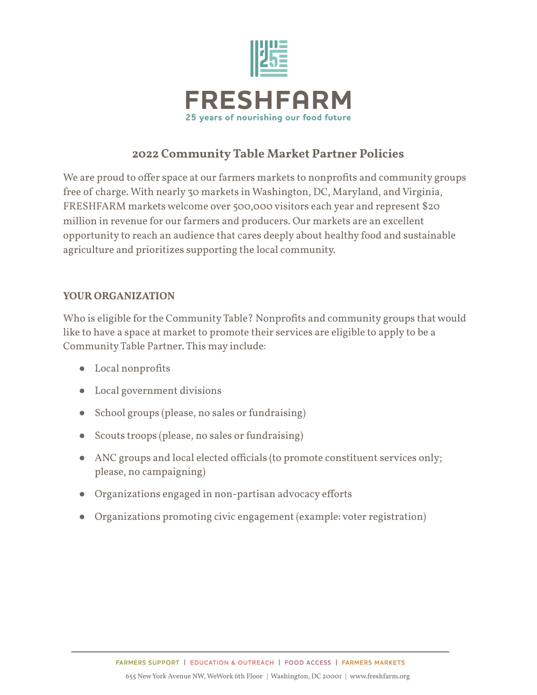

## **2022 Community Table Market Partner Policies**

We are proud to offer space at our farmers markets to nonprofits and community groups free of charge. With nearly 30 markets in Washington, DC, Maryland, and Virginia, FRESHFARM markets welcome over 500,000 visitors each year and represent \$20 million in revenue for our farmers and producers. Our markets are an excellent opportunity to reach an audience that cares deeply about healthy food and sustainable agriculture and prioritizes supporting the local community.

## **YOUR ORGANIZATION**

Who is eligible for the CommunityTable? Nonprofits and community groups that would like to have a space at market to promote their services are eligible to apply to be a CommunityTable Partner. This may include:

- Local nonprofits
- Local government divisions
- School groups (please, no sales or fundraising)
- Scouts troops (please, no sales or fundraising)
- ANC groups and local elected officials (to promote constituent services only; please, no campaigning)
- Organizations engaged in non-partisan advocacy efforts
- Organizations promoting civic engagement (example: voter registration)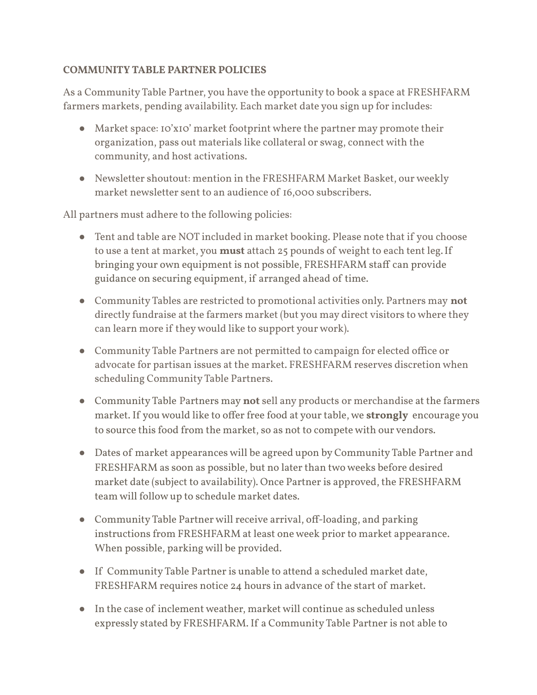## **COMMUNITY TABLE PARTNER POLICIES**

As a CommunityTable Partner, you have the opportunity to book a space at FRESHFARM farmers markets, pending availability. Each market date you sign up for includes:

- Market space: 10'x10' market footprint where the partner may promote their organization, pass out materials like collateral or swag, connect with the community, and host activations.
- Newsletter shoutout: mention in the FRESHFARM Market Basket, our weekly market newsletter sent to an audience of 16,000 subscribers.

All partners must adhere to the following policies:

- Tent and table are NOT included in market booking. Please note that if you choose to use a tent at market, you **must** attach 25 pounds of weight to each tent leg.If bringing your own equipment is not possible, FRESHFARM staff can provide guidance on securing equipment, if arranged ahead of time.
- CommunityTables are restricted to promotional activities only. Partners may **not** directly fundraise at the farmers market (but you may direct visitors to where they can learn more if theywould like to support your work).
- CommunityTable Partners are not permitted to campaign for elected office or advocate for partisan issues at the market. FRESHFARM reserves discretion when scheduling CommunityTable Partners.
- CommunityTable Partners may **not** sell any products or merchandise at the farmers market. If you would like to offer free food at your table, we **strongly** encourage you to source this food from the market, so as not to compete with our vendors.
- Dates of market appearances will be agreed upon by CommunityTable Partner and FRESHFARM as soon as possible, but no later than two weeks before desired market date (subject to availability). Once Partner is approved, the FRESHFARM team will follow up to schedule market dates.
- Community Table Partner will receive arrival, off-loading, and parking instructions from FRESHFARM at least one week prior to market appearance. When possible, parking will be provided.
- If CommunityTable Partner is unable to attend a scheduled market date, FRESHFARM requires notice 24 hours in advance of the start of market.
- In the case of inclement weather, market will continue as scheduled unless expressly stated by FRESHFARM. If a CommunityTable Partner is not able to